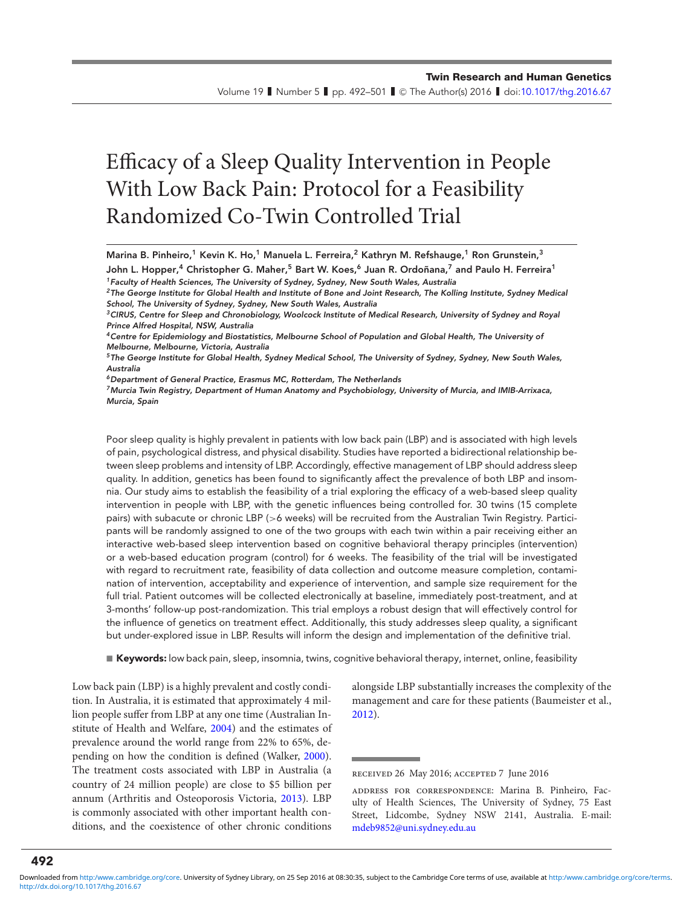Volume 19  $\;$  Number 5  $\;$  pp. 492–501  $\;$  C The Author(s) 2016  $\;$  doi[:10.1017/thg.2016.67](http://dx.doi.org/10.1017/thg.2016.67)  $\;$ 

# Efficacy of a Sleep Quality Intervention in People With Low Back Pain: Protocol for a Feasibility Randomized Co-Twin Controlled Trial

**Marina B. Pinheiro,<sup>1</sup> Kevin K. Ho,<sup>1</sup> Manuela L. Ferreira,<sup>2</sup> Kathryn M. Refshauge,1 Ron Grunstein,3 John L. Hopper,<sup>4</sup> Christopher G. Maher,<sup>5</sup> Bart W. Koes,<sup>6</sup> Juan R. Ordoñana,7 and Paulo H. Ferreira1**

*1Faculty of Health Sciences, The University of Sydney, Sydney, New South Wales, Australia*

*2The George Institute for Global Health and Institute of Bone and Joint Research, The Kolling Institute, Sydney Medical School, The University of Sydney, Sydney, New South Wales, Australia*

*5The George Institute for Global Health, Sydney Medical School, The University of Sydney, Sydney, New South Wales, Australia*

*6Department of General Practice, Erasmus MC, Rotterdam, The Netherlands*

*7Murcia Twin Registry, Department of Human Anatomy and Psychobiology, University of Murcia, and IMIB-Arrixaca, Murcia, Spain*

Poor sleep quality is highly prevalent in patients with low back pain (LBP) and is associated with high levels of pain, psychological distress, and physical disability. Studies have reported a bidirectional relationship between sleep problems and intensity of LBP. Accordingly, effective management of LBP should address sleep quality. In addition, genetics has been found to significantly affect the prevalence of both LBP and insomnia. Our study aims to establish the feasibility of a trial exploring the efficacy of a web-based sleep quality intervention in people with LBP, with the genetic influences being controlled for. 30 twins (15 complete pairs) with subacute or chronic LBP (>6 weeks) will be recruited from the Australian Twin Registry. Participants will be randomly assigned to one of the two groups with each twin within a pair receiving either an interactive web-based sleep intervention based on cognitive behavioral therapy principles (intervention) or a web-based education program (control) for 6 weeks. The feasibility of the trial will be investigated with regard to recruitment rate, feasibility of data collection and outcome measure completion, contamination of intervention, acceptability and experience of intervention, and sample size requirement for the full trial. Patient outcomes will be collected electronically at baseline, immediately post-treatment, and at 3-months' follow-up post-randomization. This trial employs a robust design that will effectively control for the influence of genetics on treatment effect. Additionally, this study addresses sleep quality, a significant but under-explored issue in LBP. Results will inform the design and implementation of the definitive trial.

- **Keywords:** low back pain, sleep, insomnia, twins, cognitive behavioral therapy, internet, online, feasibility

Low back pain (LBP) is a highly prevalent and costly condition. In Australia, it is estimated that approximately 4 million people suffer from LBP at any one time (Australian Institute of Health and Welfare, [2004\)](#page-7-0) and the estimates of prevalence around the world range from 22% to 65%, depending on how the condition is defined (Walker, [2000\)](#page-9-0). The treatment costs associated with LBP in Australia (a country of 24 million people) are close to \$5 billion per annum (Arthritis and Osteoporosis Victoria, [2013\)](#page-7-0). LBP is commonly associated with other important health conditions, and the coexistence of other chronic conditions

**492**

alongside LBP substantially increases the complexity of the management and care for these patients (Baumeister et al., [2012\)](#page-7-0).

*<sup>3</sup>CIRUS, Centre for Sleep and Chronobiology, Woolcock Institute of Medical Research, University of Sydney and Royal Prince Alfred Hospital, NSW, Australia*

*<sup>4</sup>Centre for Epidemiology and Biostatistics, Melbourne School of Population and Global Health, The University of Melbourne, Melbourne, Victoria, Australia*

received 26 May 2016; accepted 7 June 2016

address for correspondence: Marina B. Pinheiro, Faculty of Health Sciences, The University of Sydney, 75 East Street, Lidcombe, Sydney NSW 2141, Australia. E-mail: [mdeb9852@uni.sydney.edu.au](mailto:mdeb9852@uni.sydney.edu.au)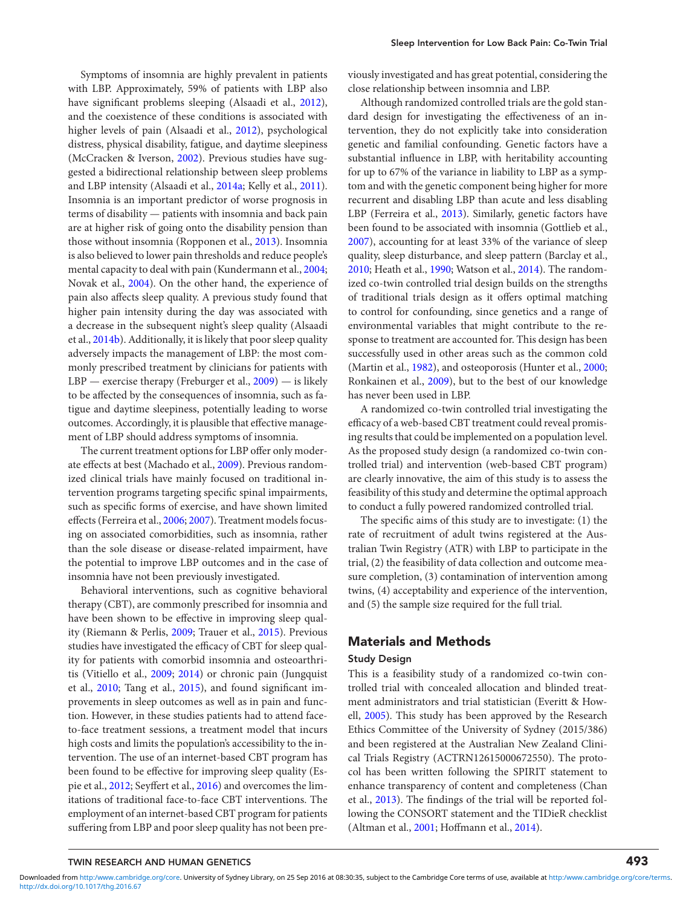Symptoms of insomnia are highly prevalent in patients with LBP. Approximately, 59% of patients with LBP also have significant problems sleeping (Alsaadi et al., [2012\)](#page-7-0), and the coexistence of these conditions is associated with higher levels of pain (Alsaadi et al., [2012\)](#page-7-0), psychological distress, physical disability, fatigue, and daytime sleepiness (McCracken & Iverson, [2002\)](#page-8-0). Previous studies have suggested a bidirectional relationship between sleep problems and LBP intensity (Alsaadi et al., [2014a;](#page-7-0) Kelly et al., [2011\)](#page-8-0). Insomnia is an important predictor of worse prognosis in terms of disability — patients with insomnia and back pain are at higher risk of going onto the disability pension than those without insomnia (Ropponen et al., [2013\)](#page-8-0). Insomnia is also believed to lower pain thresholds and reduce people's mental capacity to deal with pain (Kundermann et al., [2004;](#page-8-0) Novak et al., [2004\)](#page-8-0). On the other hand, the experience of pain also affects sleep quality. A previous study found that higher pain intensity during the day was associated with a decrease in the subsequent night's sleep quality (Alsaadi et al., [2014b\)](#page-7-0). Additionally, it is likely that poor sleep quality adversely impacts the management of LBP: the most commonly prescribed treatment by clinicians for patients with  $LBP$  — exercise therapy (Freburger et al.,  $2009$ ) — is likely to be affected by the consequences of insomnia, such as fatigue and daytime sleepiness, potentially leading to worse outcomes. Accordingly, it is plausible that effective management of LBP should address symptoms of insomnia.

The current treatment options for LBP offer only moderate effects at best (Machado et al., [2009\)](#page-8-0). Previous randomized clinical trials have mainly focused on traditional intervention programs targeting specific spinal impairments, such as specific forms of exercise, and have shown limited effects (Ferreira et al., [2006;](#page-7-0) [2007\)](#page-7-0). Treatment models focusing on associated comorbidities, such as insomnia, rather than the sole disease or disease-related impairment, have the potential to improve LBP outcomes and in the case of insomnia have not been previously investigated.

Behavioral interventions, such as cognitive behavioral therapy (CBT), are commonly prescribed for insomnia and have been shown to be effective in improving sleep quality (Riemann & Perlis, [2009;](#page-8-0) Trauer et al., [2015\)](#page-8-0). Previous studies have investigated the efficacy of CBT for sleep quality for patients with comorbid insomnia and osteoarthritis (Vitiello et al., [2009;](#page-8-0) [2014\)](#page-8-0) or chronic pain (Jungquist et al., [2010;](#page-8-0) Tang et al., [2015\)](#page-8-0), and found significant improvements in sleep outcomes as well as in pain and function. However, in these studies patients had to attend faceto-face treatment sessions, a treatment model that incurs high costs and limits the population's accessibility to the intervention. The use of an internet-based CBT program has been found to be effective for improving sleep quality (Espie et al., [2012;](#page-7-0) Seyffert et al., [2016\)](#page-8-0) and overcomes the limitations of traditional face-to-face CBT interventions. The employment of an internet-based CBT program for patients suffering from LBP and poor sleep quality has not been previously investigated and has great potential, considering the close relationship between insomnia and LBP.

Although randomized controlled trials are the gold standard design for investigating the effectiveness of an intervention, they do not explicitly take into consideration genetic and familial confounding. Genetic factors have a substantial influence in LBP, with heritability accounting for up to 67% of the variance in liability to LBP as a symptom and with the genetic component being higher for more recurrent and disabling LBP than acute and less disabling LBP (Ferreira et al., [2013\)](#page-7-0). Similarly, genetic factors have been found to be associated with insomnia (Gottlieb et al., [2007\)](#page-7-0), accounting for at least 33% of the variance of sleep quality, sleep disturbance, and sleep pattern (Barclay et al., [2010;](#page-7-0) Heath et al., [1990;](#page-7-0) Watson et al., [2014\)](#page-9-0). The randomized co-twin controlled trial design builds on the strengths of traditional trials design as it offers optimal matching to control for confounding, since genetics and a range of environmental variables that might contribute to the response to treatment are accounted for. This design has been successfully used in other areas such as the common cold (Martin et al., [1982\)](#page-8-0), and osteoporosis (Hunter et al., [2000;](#page-8-0) Ronkainen et al., [2009\)](#page-8-0), but to the best of our knowledge has never been used in LBP.

A randomized co-twin controlled trial investigating the efficacy of a web-based CBT treatment could reveal promising results that could be implemented on a population level. As the proposed study design (a randomized co-twin controlled trial) and intervention (web-based CBT program) are clearly innovative, the aim of this study is to assess the feasibility of this study and determine the optimal approach to conduct a fully powered randomized controlled trial.

The specific aims of this study are to investigate: (1) the rate of recruitment of adult twins registered at the Australian Twin Registry (ATR) with LBP to participate in the trial, (2) the feasibility of data collection and outcome measure completion, (3) contamination of intervention among twins, (4) acceptability and experience of the intervention, and (5) the sample size required for the full trial.

# **Materials and Methods**

# **Study Design**

This is a feasibility study of a randomized co-twin controlled trial with concealed allocation and blinded treatment administrators and trial statistician (Everitt & Howell, [2005\)](#page-7-0). This study has been approved by the Research Ethics Committee of the University of Sydney (2015/386) and been registered at the Australian New Zealand Clinical Trials Registry (ACTRN12615000672550). The protocol has been written following the SPIRIT statement to enhance transparency of content and completeness (Chan et al., [2013\)](#page-7-0). The findings of the trial will be reported following the CONSORT statement and the TIDieR checklist (Altman et al., [2001;](#page-7-0) Hoffmann et al., [2014\)](#page-8-0).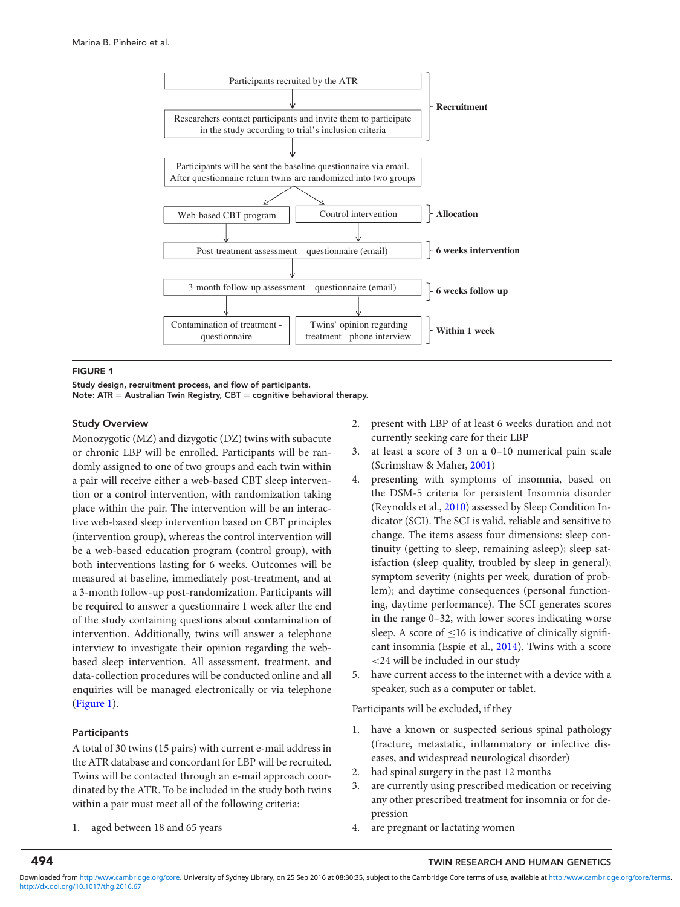

#### **FIGURE 1**

**Study design, recruitment process, and flow of participants.**

**Note: ATR** = **Australian Twin Registry, CBT** = **cognitive behavioral therapy.**

# **Study Overview**

Monozygotic (MZ) and dizygotic (DZ) twins with subacute or chronic LBP will be enrolled. Participants will be randomly assigned to one of two groups and each twin within a pair will receive either a web-based CBT sleep intervention or a control intervention, with randomization taking place within the pair. The intervention will be an interactive web-based sleep intervention based on CBT principles (intervention group), whereas the control intervention will be a web-based education program (control group), with both interventions lasting for 6 weeks. Outcomes will be measured at baseline, immediately post-treatment, and at a 3-month follow-up post-randomization. Participants will be required to answer a questionnaire 1 week after the end of the study containing questions about contamination of intervention. Additionally, twins will answer a telephone interview to investigate their opinion regarding the webbased sleep intervention. All assessment, treatment, and data-collection procedures will be conducted online and all enquiries will be managed electronically or via telephone (Figure 1).

# **Participants**

A total of 30 twins (15 pairs) with current e-mail address in the ATR database and concordant for LBP will be recruited. Twins will be contacted through an e-mail approach coordinated by the ATR. To be included in the study both twins within a pair must meet all of the following criteria:

1. aged between 18 and 65 years

- 2. present with LBP of at least 6 weeks duration and not currently seeking care for their LBP
- 3. at least a score of 3 on a 0–10 numerical pain scale (Scrimshaw & Maher, [2001\)](#page-8-0)
- 4. presenting with symptoms of insomnia, based on the DSM-5 criteria for persistent Insomnia disorder (Reynolds et al., [2010\)](#page-8-0) assessed by Sleep Condition Indicator (SCI). The SCI is valid, reliable and sensitive to change. The items assess four dimensions: sleep continuity (getting to sleep, remaining asleep); sleep satisfaction (sleep quality, troubled by sleep in general); symptom severity (nights per week, duration of problem); and daytime consequences (personal functioning, daytime performance). The SCI generates scores in the range 0–32, with lower scores indicating worse sleep. A score of  $\leq 16$  is indicative of clinically significant insomnia (Espie et al., [2014\)](#page-7-0). Twins with a score <24 will be included in our study
- 5. have current access to the internet with a device with a speaker, such as a computer or tablet.

Participants will be excluded, if they

- 1. have a known or suspected serious spinal pathology (fracture, metastatic, inflammatory or infective diseases, and widespread neurological disorder)
- 2. had spinal surgery in the past 12 months
- are currently using prescribed medication or receiving any other prescribed treatment for insomnia or for depression
- 4. are pregnant or lactating women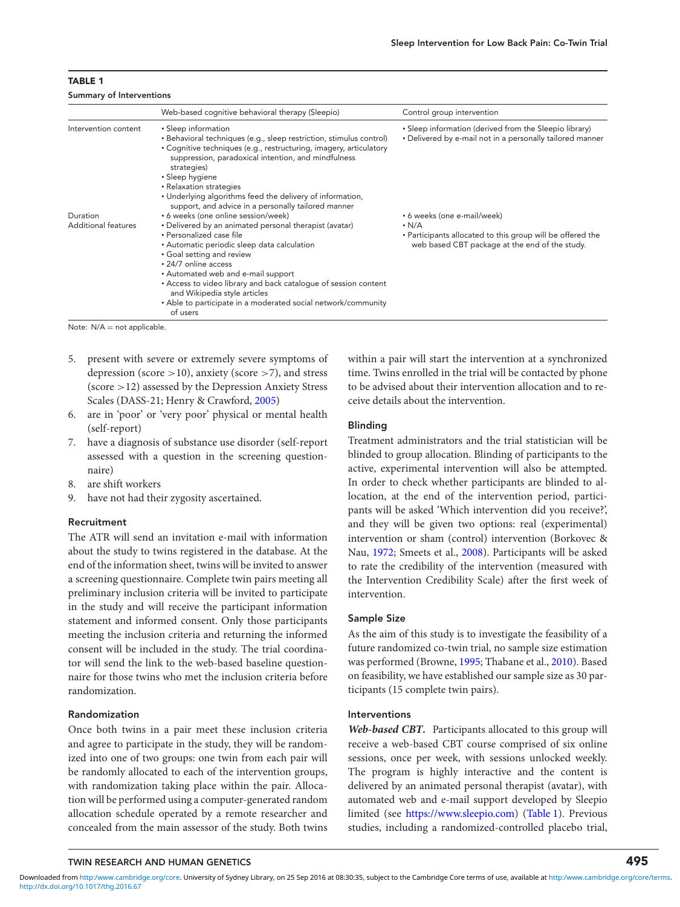# <span id="page-3-0"></span>**TABLE 1**

## **Summary of Interventions**

|                                        | Web-based cognitive behavioral therapy (Sleepio)                                                                                                                                                                                                                                                                                                                                                                                                    | Control group intervention                                                                                                                                 |
|----------------------------------------|-----------------------------------------------------------------------------------------------------------------------------------------------------------------------------------------------------------------------------------------------------------------------------------------------------------------------------------------------------------------------------------------------------------------------------------------------------|------------------------------------------------------------------------------------------------------------------------------------------------------------|
| Intervention content                   | • Sleep information<br>• Behavioral techniques (e.g., sleep restriction, stimulus control)<br>• Cognitive techniques (e.g., restructuring, imagery, articulatory<br>suppression, paradoxical intention, and mindfulness<br>strategies)<br>• Sleep hygiene                                                                                                                                                                                           | • Sleep information (derived from the Sleepio library)<br>• Delivered by e-mail not in a personally tailored manner                                        |
|                                        | • Relaxation strategies<br>. Underlying algorithms feed the delivery of information,<br>support, and advice in a personally tailored manner                                                                                                                                                                                                                                                                                                         |                                                                                                                                                            |
| Duration<br><b>Additional features</b> | • 6 weeks (one online session/week)<br>• Delivered by an animated personal therapist (avatar)<br>· Personalized case file<br>• Automatic periodic sleep data calculation<br>• Goal setting and review<br>• 24/7 online access<br>• Automated web and e-mail support<br>• Access to video library and back catalogue of session content<br>and Wikipedia style articles<br>• Able to participate in a moderated social network/community<br>of users | • 6 weeks (one e-mail/week)<br>$\cdot$ N/A<br>• Participants allocated to this group will be offered the<br>web based CBT package at the end of the study. |

5. present with severe or extremely severe symptoms of depression (score  $>10$ ), anxiety (score  $>7$ ), and stress (score >12) assessed by the Depression Anxiety Stress Scales (DASS-21; Henry & Crawford, [2005\)](#page-7-0)

- 6. are in 'poor' or 'very poor' physical or mental health (self-report)
- 7. have a diagnosis of substance use disorder (self-report assessed with a question in the screening questionnaire)
- 8. are shift workers
- 9. have not had their zygosity ascertained.

## **Recruitment**

The ATR will send an invitation e-mail with information about the study to twins registered in the database. At the end of the information sheet, twins will be invited to answer a screening questionnaire. Complete twin pairs meeting all preliminary inclusion criteria will be invited to participate in the study and will receive the participant information statement and informed consent. Only those participants meeting the inclusion criteria and returning the informed consent will be included in the study. The trial coordinator will send the link to the web-based baseline questionnaire for those twins who met the inclusion criteria before randomization.

## **Randomization**

Once both twins in a pair meet these inclusion criteria and agree to participate in the study, they will be randomized into one of two groups: one twin from each pair will be randomly allocated to each of the intervention groups, with randomization taking place within the pair. Allocation will be performed using a computer-generated random allocation schedule operated by a remote researcher and concealed from the main assessor of the study. Both twins within a pair will start the intervention at a synchronized time. Twins enrolled in the trial will be contacted by phone to be advised about their intervention allocation and to receive details about the intervention.

#### **Blinding**

Treatment administrators and the trial statistician will be blinded to group allocation. Blinding of participants to the active, experimental intervention will also be attempted. In order to check whether participants are blinded to allocation, at the end of the intervention period, participants will be asked 'Which intervention did you receive?', and they will be given two options: real (experimental) intervention or sham (control) intervention (Borkovec & Nau, [1972;](#page-7-0) Smeets et al., [2008\)](#page-8-0). Participants will be asked to rate the credibility of the intervention (measured with the Intervention Credibility Scale) after the first week of intervention.

## **Sample Size**

As the aim of this study is to investigate the feasibility of a future randomized co-twin trial, no sample size estimation was performed (Browne, [1995;](#page-7-0) Thabane et al., [2010\)](#page-8-0). Based on feasibility, we have established our sample size as 30 participants (15 complete twin pairs).

# **Interventions**

*Web-based CBT.* Participants allocated to this group will receive a web-based CBT course comprised of six online sessions, once per week, with sessions unlocked weekly. The program is highly interactive and the content is delivered by an animated personal therapist (avatar), with automated web and e-mail support developed by Sleepio limited (see [https://www.sleepio.com\)](https://www.sleepio.com) (Table 1). Previous studies, including a randomized-controlled placebo trial,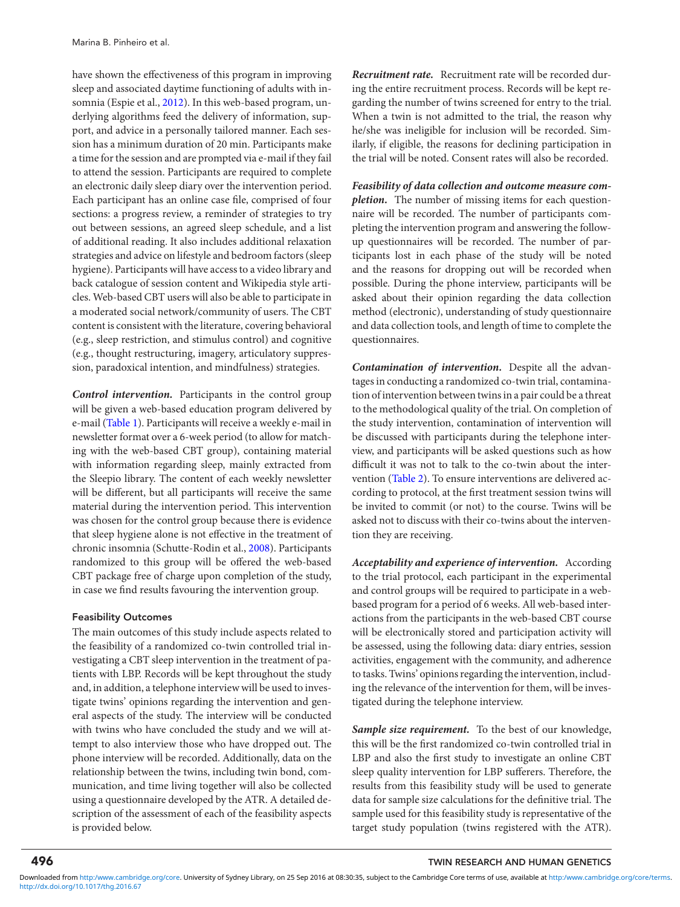have shown the effectiveness of this program in improving sleep and associated daytime functioning of adults with in-somnia (Espie et al., [2012\)](#page-7-0). In this web-based program, underlying algorithms feed the delivery of information, support, and advice in a personally tailored manner. Each session has a minimum duration of 20 min. Participants make a time for the session and are prompted via e-mail if they fail to attend the session. Participants are required to complete an electronic daily sleep diary over the intervention period. Each participant has an online case file, comprised of four sections: a progress review, a reminder of strategies to try out between sessions, an agreed sleep schedule, and a list of additional reading. It also includes additional relaxation strategies and advice on lifestyle and bedroom factors (sleep hygiene). Participants will have access to a video library and back catalogue of session content and Wikipedia style articles. Web-based CBT users will also be able to participate in a moderated social network/community of users. The CBT content is consistent with the literature, covering behavioral (e.g., sleep restriction, and stimulus control) and cognitive (e.g., thought restructuring, imagery, articulatory suppression, paradoxical intention, and mindfulness) strategies.

*Control intervention.* Participants in the control group will be given a web-based education program delivered by e-mail [\(Table 1\)](#page-3-0). Participants will receive a weekly e-mail in newsletter format over a 6-week period (to allow for matching with the web-based CBT group), containing material with information regarding sleep, mainly extracted from the Sleepio library. The content of each weekly newsletter will be different, but all participants will receive the same material during the intervention period. This intervention was chosen for the control group because there is evidence that sleep hygiene alone is not effective in the treatment of chronic insomnia (Schutte-Rodin et al., [2008\)](#page-8-0). Participants randomized to this group will be offered the web-based CBT package free of charge upon completion of the study, in case we find results favouring the intervention group.

## **Feasibility Outcomes**

The main outcomes of this study include aspects related to the feasibility of a randomized co-twin controlled trial investigating a CBT sleep intervention in the treatment of patients with LBP. Records will be kept throughout the study and, in addition, a telephone interview will be used to investigate twins' opinions regarding the intervention and general aspects of the study. The interview will be conducted with twins who have concluded the study and we will attempt to also interview those who have dropped out. The phone interview will be recorded. Additionally, data on the relationship between the twins, including twin bond, communication, and time living together will also be collected using a questionnaire developed by the ATR. A detailed description of the assessment of each of the feasibility aspects is provided below.

*Recruitment rate.* Recruitment rate will be recorded during the entire recruitment process. Records will be kept regarding the number of twins screened for entry to the trial. When a twin is not admitted to the trial, the reason why he/she was ineligible for inclusion will be recorded. Similarly, if eligible, the reasons for declining participation in the trial will be noted. Consent rates will also be recorded.

*Feasibility of data collection and outcome measure completion.* The number of missing items for each questionnaire will be recorded. The number of participants completing the intervention program and answering the followup questionnaires will be recorded. The number of participants lost in each phase of the study will be noted and the reasons for dropping out will be recorded when possible. During the phone interview, participants will be asked about their opinion regarding the data collection method (electronic), understanding of study questionnaire and data collection tools, and length of time to complete the questionnaires.

*Contamination of intervention.* Despite all the advantages in conducting a randomized co-twin trial, contamination of intervention between twins in a pair could be a threat to the methodological quality of the trial. On completion of the study intervention, contamination of intervention will be discussed with participants during the telephone interview, and participants will be asked questions such as how difficult it was not to talk to the co-twin about the intervention [\(Table 2\)](#page-5-0). To ensure interventions are delivered according to protocol, at the first treatment session twins will be invited to commit (or not) to the course. Twins will be asked not to discuss with their co-twins about the intervention they are receiving.

*Acceptability and experience of intervention.* According to the trial protocol, each participant in the experimental and control groups will be required to participate in a webbased program for a period of 6 weeks. All web-based interactions from the participants in the web-based CBT course will be electronically stored and participation activity will be assessed, using the following data: diary entries, session activities, engagement with the community, and adherence to tasks. Twins' opinions regarding the intervention, including the relevance of the intervention for them, will be investigated during the telephone interview.

*Sample size requirement.* To the best of our knowledge, this will be the first randomized co-twin controlled trial in LBP and also the first study to investigate an online CBT sleep quality intervention for LBP sufferers. Therefore, the results from this feasibility study will be used to generate data for sample size calculations for the definitive trial. The sample used for this feasibility study is representative of the target study population (twins registered with the ATR).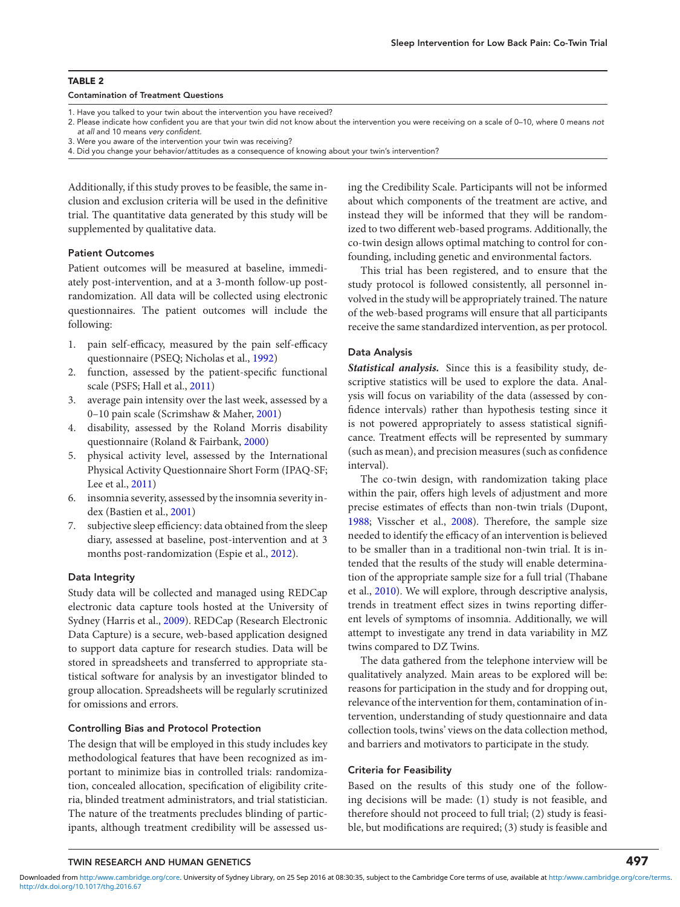#### <span id="page-5-0"></span>**TABLE 2**

#### **Contamination of Treatment Questions**

1. Have you talked to your twin about the intervention you have received?

2. Please indicate how confident you are that your twin did not know about the intervention you were receiving on a scale of 0–10, where 0 means not at all and 10 means very confident.

- 3. Were you aware of the intervention your twin was receiving?
- 4. Did you change your behavior/attitudes as a consequence of knowing about your twin's intervention?

Additionally, if this study proves to be feasible, the same inclusion and exclusion criteria will be used in the definitive trial. The quantitative data generated by this study will be supplemented by qualitative data.

## **Patient Outcomes**

Patient outcomes will be measured at baseline, immediately post-intervention, and at a 3-month follow-up postrandomization. All data will be collected using electronic questionnaires. The patient outcomes will include the following:

- 1. pain self-efficacy, measured by the pain self-efficacy questionnaire (PSEQ; Nicholas et al., [1992\)](#page-8-0)
- 2. function, assessed by the patient-specific functional scale (PSFS; Hall et al., [2011\)](#page-7-0)
- 3. average pain intensity over the last week, assessed by a 0–10 pain scale (Scrimshaw & Maher, [2001\)](#page-8-0)
- 4. disability, assessed by the Roland Morris disability questionnaire (Roland & Fairbank, [2000\)](#page-8-0)
- 5. physical activity level, assessed by the International Physical Activity Questionnaire Short Form (IPAQ-SF; Lee et al., [2011\)](#page-8-0)
- 6. insomnia severity, assessed by the insomnia severity index (Bastien et al., [2001\)](#page-7-0)
- 7. subjective sleep efficiency: data obtained from the sleep diary, assessed at baseline, post-intervention and at 3 months post-randomization (Espie et al., [2012\)](#page-7-0).

# **Data Integrity**

Study data will be collected and managed using REDCap electronic data capture tools hosted at the University of Sydney (Harris et al., [2009\)](#page-7-0). REDCap (Research Electronic Data Capture) is a secure, web-based application designed to support data capture for research studies. Data will be stored in spreadsheets and transferred to appropriate statistical software for analysis by an investigator blinded to group allocation. Spreadsheets will be regularly scrutinized for omissions and errors.

## **Controlling Bias and Protocol Protection**

The design that will be employed in this study includes key methodological features that have been recognized as important to minimize bias in controlled trials: randomization, concealed allocation, specification of eligibility criteria, blinded treatment administrators, and trial statistician. The nature of the treatments precludes blinding of participants, although treatment credibility will be assessed using the Credibility Scale. Participants will not be informed about which components of the treatment are active, and instead they will be informed that they will be randomized to two different web-based programs. Additionally, the co-twin design allows optimal matching to control for confounding, including genetic and environmental factors.

This trial has been registered, and to ensure that the study protocol is followed consistently, all personnel involved in the study will be appropriately trained. The nature of the web-based programs will ensure that all participants receive the same standardized intervention, as per protocol.

#### **Data Analysis**

*Statistical analysis.* Since this is a feasibility study, descriptive statistics will be used to explore the data. Analysis will focus on variability of the data (assessed by confidence intervals) rather than hypothesis testing since it is not powered appropriately to assess statistical significance. Treatment effects will be represented by summary (such as mean), and precision measures (such as confidence interval).

The co-twin design, with randomization taking place within the pair, offers high levels of adjustment and more precise estimates of effects than non-twin trials (Dupont, [1988;](#page-7-0) Visscher et al., [2008\)](#page-8-0). Therefore, the sample size needed to identify the efficacy of an intervention is believed to be smaller than in a traditional non-twin trial. It is intended that the results of the study will enable determination of the appropriate sample size for a full trial (Thabane et al., [2010\)](#page-8-0). We will explore, through descriptive analysis, trends in treatment effect sizes in twins reporting different levels of symptoms of insomnia. Additionally, we will attempt to investigate any trend in data variability in MZ twins compared to DZ Twins.

The data gathered from the telephone interview will be qualitatively analyzed. Main areas to be explored will be: reasons for participation in the study and for dropping out, relevance of the intervention for them, contamination of intervention, understanding of study questionnaire and data collection tools, twins' views on the data collection method, and barriers and motivators to participate in the study.

## **Criteria for Feasibility**

Based on the results of this study one of the following decisions will be made: (1) study is not feasible, and therefore should not proceed to full trial; (2) study is feasible, but modifications are required; (3) study is feasible and

# **TWIN RESEARCH AND HUMAN GENETICS 497**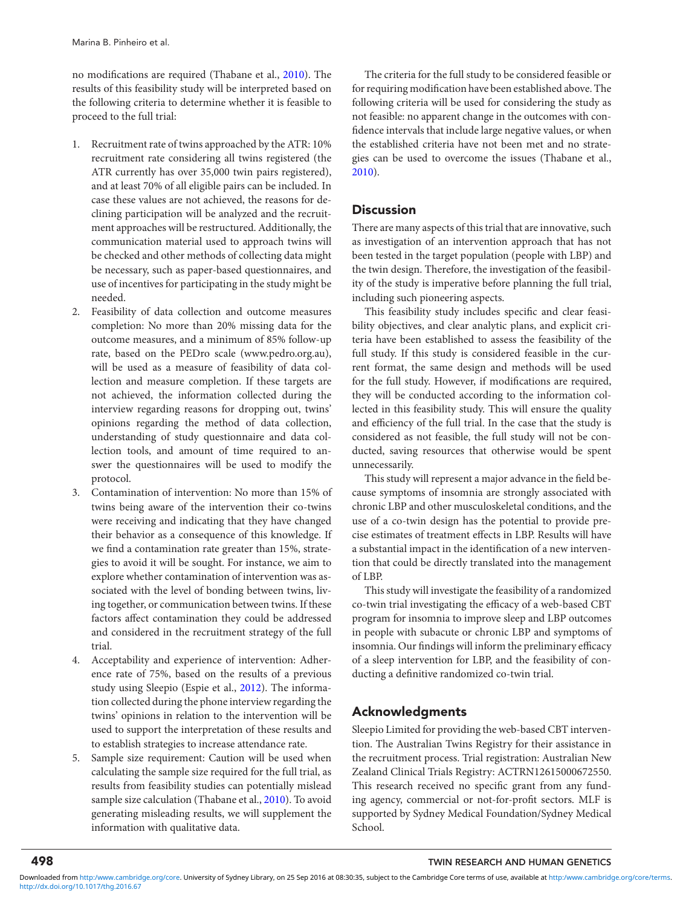no modifications are required (Thabane et al., [2010\)](#page-8-0). The results of this feasibility study will be interpreted based on the following criteria to determine whether it is feasible to proceed to the full trial:

- 1. Recruitment rate of twins approached by the ATR: 10% recruitment rate considering all twins registered (the ATR currently has over 35,000 twin pairs registered), and at least 70% of all eligible pairs can be included. In case these values are not achieved, the reasons for declining participation will be analyzed and the recruitment approaches will be restructured. Additionally, the communication material used to approach twins will be checked and other methods of collecting data might be necessary, such as paper-based questionnaires, and use of incentives for participating in the study might be needed.
- 2. Feasibility of data collection and outcome measures completion: No more than 20% missing data for the outcome measures, and a minimum of 85% follow-up rate, based on the PEDro scale (www.pedro.org.au), will be used as a measure of feasibility of data collection and measure completion. If these targets are not achieved, the information collected during the interview regarding reasons for dropping out, twins' opinions regarding the method of data collection, understanding of study questionnaire and data collection tools, and amount of time required to answer the questionnaires will be used to modify the protocol.
- 3. Contamination of intervention: No more than 15% of twins being aware of the intervention their co-twins were receiving and indicating that they have changed their behavior as a consequence of this knowledge. If we find a contamination rate greater than 15%, strategies to avoid it will be sought. For instance, we aim to explore whether contamination of intervention was associated with the level of bonding between twins, living together, or communication between twins. If these factors affect contamination they could be addressed and considered in the recruitment strategy of the full trial.
- 4. Acceptability and experience of intervention: Adherence rate of 75%, based on the results of a previous study using Sleepio (Espie et al., [2012\)](#page-7-0). The information collected during the phone interview regarding the twins' opinions in relation to the intervention will be used to support the interpretation of these results and to establish strategies to increase attendance rate.
- 5. Sample size requirement: Caution will be used when calculating the sample size required for the full trial, as results from feasibility studies can potentially mislead sample size calculation (Thabane et al., [2010\)](#page-8-0). To avoid generating misleading results, we will supplement the information with qualitative data.

The criteria for the full study to be considered feasible or for requiring modification have been established above. The following criteria will be used for considering the study as not feasible: no apparent change in the outcomes with confidence intervals that include large negative values, or when the established criteria have not been met and no strategies can be used to overcome the issues (Thabane et al., [2010\)](#page-8-0).

# **Discussion**

There are many aspects of this trial that are innovative, such as investigation of an intervention approach that has not been tested in the target population (people with LBP) and the twin design. Therefore, the investigation of the feasibility of the study is imperative before planning the full trial, including such pioneering aspects.

This feasibility study includes specific and clear feasibility objectives, and clear analytic plans, and explicit criteria have been established to assess the feasibility of the full study. If this study is considered feasible in the current format, the same design and methods will be used for the full study. However, if modifications are required, they will be conducted according to the information collected in this feasibility study. This will ensure the quality and efficiency of the full trial. In the case that the study is considered as not feasible, the full study will not be conducted, saving resources that otherwise would be spent unnecessarily.

This study will represent a major advance in the field because symptoms of insomnia are strongly associated with chronic LBP and other musculoskeletal conditions, and the use of a co-twin design has the potential to provide precise estimates of treatment effects in LBP. Results will have a substantial impact in the identification of a new intervention that could be directly translated into the management of LBP.

This study will investigate the feasibility of a randomized co-twin trial investigating the efficacy of a web-based CBT program for insomnia to improve sleep and LBP outcomes in people with subacute or chronic LBP and symptoms of insomnia. Our findings will inform the preliminary efficacy of a sleep intervention for LBP, and the feasibility of conducting a definitive randomized co-twin trial.

# **Acknowledgments**

Sleepio Limited for providing the web-based CBT intervention. The Australian Twins Registry for their assistance in the recruitment process. Trial registration: Australian New Zealand Clinical Trials Registry: ACTRN12615000672550. This research received no specific grant from any funding agency, commercial or not-for-profit sectors. MLF is supported by Sydney Medical Foundation/Sydney Medical School.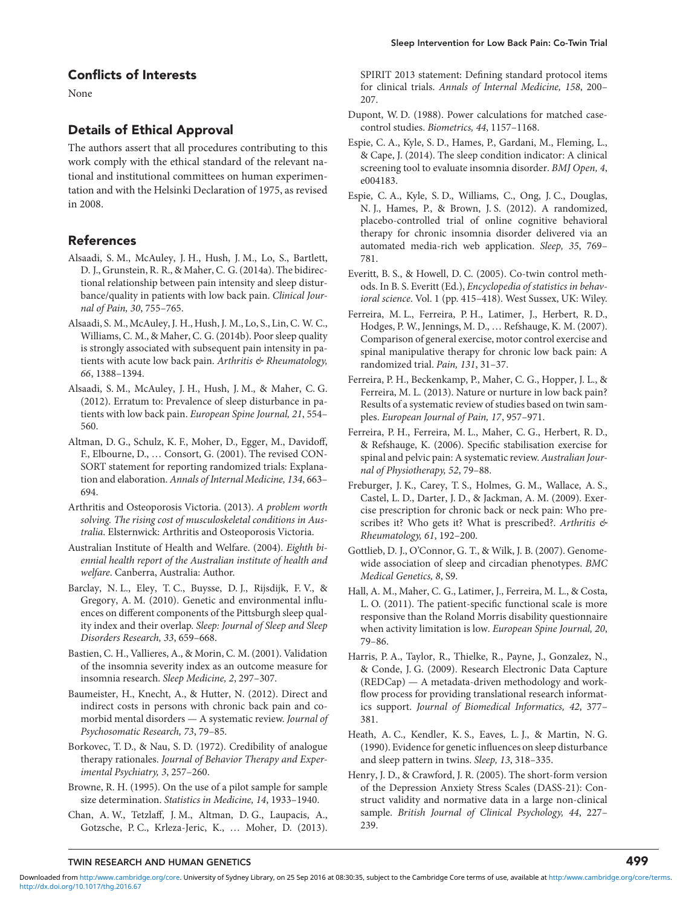# <span id="page-7-0"></span>**Conflicts of Interests**

None

# **Details of Ethical Approval**

The authors assert that all procedures contributing to this work comply with the ethical standard of the relevant national and institutional committees on human experimentation and with the Helsinki Declaration of 1975, as revised in 2008.

# **References**

- Alsaadi, S. M., McAuley, J. H., Hush, J. M., Lo, S., Bartlett, D. J., Grunstein, R. R., & Maher, C. G. (2014a). The bidirectional relationship between pain intensity and sleep disturbance/quality in patients with low back pain. *Clinical Journal of Pain, 30*, 755–765.
- Alsaadi, S. M., McAuley, J. H., Hush, J. M., Lo, S., Lin, C. W. C., Williams, C. M., & Maher, C. G. (2014b). Poor sleep quality is strongly associated with subsequent pain intensity in patients with acute low back pain. *Arthritis & Rheumatology, 66*, 1388–1394.
- Alsaadi, S. M., McAuley, J. H., Hush, J. M., & Maher, C. G. (2012). Erratum to: Prevalence of sleep disturbance in patients with low back pain. *European Spine Journal, 21*, 554– 560.
- Altman, D. G., Schulz, K. F., Moher, D., Egger, M., Davidoff, F., Elbourne, D., … Consort, G. (2001). The revised CON-SORT statement for reporting randomized trials: Explanation and elaboration. *Annals of Internal Medicine, 134*, 663– 694.
- Arthritis and Osteoporosis Victoria. (2013). *A problem worth solving. The rising cost of musculoskeletal conditions in Australia*. Elsternwick: Arthritis and Osteoporosis Victoria.
- Australian Institute of Health and Welfare. (2004). *Eighth biennial health report of the Australian institute of health and welfare*. Canberra, Australia: Author.
- Barclay, N. L., Eley, T. C., Buysse, D. J., Rijsdijk, F. V., & Gregory, A. M. (2010). Genetic and environmental influences on different components of the Pittsburgh sleep quality index and their overlap. *Sleep: Journal of Sleep and Sleep Disorders Research, 33*, 659–668.
- Bastien, C. H., Vallieres, A., & Morin, C. M. (2001). Validation of the insomnia severity index as an outcome measure for insomnia research. *Sleep Medicine, 2*, 297–307.
- Baumeister, H., Knecht, A., & Hutter, N. (2012). Direct and indirect costs in persons with chronic back pain and comorbid mental disorders — A systematic review. *Journal of Psychosomatic Research, 73*, 79–85.
- Borkovec, T. D., & Nau, S. D. (1972). Credibility of analogue therapy rationales. *Journal of Behavior Therapy and Experimental Psychiatry, 3*, 257–260.
- Browne, R. H. (1995). On the use of a pilot sample for sample size determination. *Statistics in Medicine, 14*, 1933–1940.
- Chan, A. W., Tetzlaff, J. M., Altman, D. G., Laupacis, A., Gotzsche, P. C., Krleza-Jeric, K., … Moher, D. (2013).

SPIRIT 2013 statement: Defining standard protocol items for clinical trials. *Annals of Internal Medicine, 158*, 200– 207.

- Dupont, W. D. (1988). Power calculations for matched casecontrol studies. *Biometrics, 44*, 1157–1168.
- Espie, C. A., Kyle, S. D., Hames, P., Gardani, M., Fleming, L., & Cape, J. (2014). The sleep condition indicator: A clinical screening tool to evaluate insomnia disorder. *BMJ Open, 4*, e004183.
- Espie, C. A., Kyle, S. D., Williams, C., Ong, J. C., Douglas, N. J., Hames, P., & Brown, J. S. (2012). A randomized, placebo-controlled trial of online cognitive behavioral therapy for chronic insomnia disorder delivered via an automated media-rich web application. *Sleep, 35*, 769– 781.
- Everitt, B. S., & Howell, D. C. (2005). Co-twin control methods. In B. S. Everitt (Ed.), *Encyclopedia of statistics in behavioral science*. Vol. 1 (pp. 415–418). West Sussex, UK: Wiley.
- Ferreira, M. L., Ferreira, P. H., Latimer, J., Herbert, R. D., Hodges, P. W., Jennings, M. D., … Refshauge, K. M. (2007). Comparison of general exercise, motor control exercise and spinal manipulative therapy for chronic low back pain: A randomized trial. *Pain, 131*, 31–37.
- Ferreira, P. H., Beckenkamp, P., Maher, C. G., Hopper, J. L., & Ferreira, M. L. (2013). Nature or nurture in low back pain? Results of a systematic review of studies based on twin samples. *European Journal of Pain, 17*, 957–971.
- Ferreira, P. H., Ferreira, M. L., Maher, C. G., Herbert, R. D., & Refshauge, K. (2006). Specific stabilisation exercise for spinal and pelvic pain: A systematic review. *Australian Journal of Physiotherapy, 52*, 79–88.
- Freburger, J. K., Carey, T. S., Holmes, G. M., Wallace, A. S., Castel, L. D., Darter, J. D., & Jackman, A. M. (2009). Exercise prescription for chronic back or neck pain: Who prescribes it? Who gets it? What is prescribed?. *Arthritis & Rheumatology, 61*, 192–200.
- Gottlieb, D. J., O'Connor, G. T., & Wilk, J. B. (2007). Genomewide association of sleep and circadian phenotypes. *BMC Medical Genetics, 8*, S9.
- Hall, A. M., Maher, C. G., Latimer, J., Ferreira, M. L., & Costa, L. O. (2011). The patient-specific functional scale is more responsive than the Roland Morris disability questionnaire when activity limitation is low. *European Spine Journal, 20*, 79–86.
- Harris, P. A., Taylor, R., Thielke, R., Payne, J., Gonzalez, N., & Conde, J. G. (2009). Research Electronic Data Capture (REDCap) — A metadata-driven methodology and workflow process for providing translational research informatics support. *Journal of Biomedical Informatics, 42*, 377– 381.
- Heath, A. C., Kendler, K. S., Eaves, L. J., & Martin, N. G. (1990). Evidence for genetic influences on sleep disturbance and sleep pattern in twins. *Sleep, 13*, 318–335.
- Henry, J. D., & Crawford, J. R. (2005). The short-form version of the Depression Anxiety Stress Scales (DASS-21): Construct validity and normative data in a large non-clinical sample. *British Journal of Clinical Psychology, 44*, 227– 239.

# **TWIN RESEARCH AND HUMAN GENETICS 499**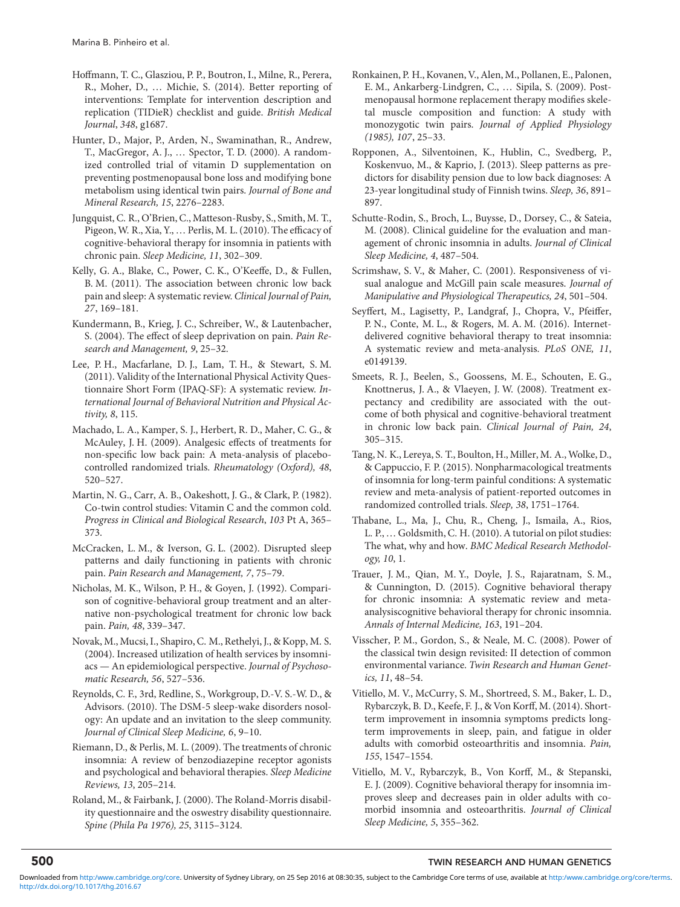- <span id="page-8-0"></span>Hoffmann, T. C., Glasziou, P. P., Boutron, I., Milne, R., Perera, R., Moher, D., … Michie, S. (2014). Better reporting of interventions: Template for intervention description and replication (TIDieR) checklist and guide. *British Medical Journal*, *348*, g1687.
- Hunter, D., Major, P., Arden, N., Swaminathan, R., Andrew, T., MacGregor, A. J., … Spector, T. D. (2000). A randomized controlled trial of vitamin D supplementation on preventing postmenopausal bone loss and modifying bone metabolism using identical twin pairs. *Journal of Bone and Mineral Research, 15*, 2276–2283.
- Jungquist, C. R., O'Brien, C., Matteson-Rusby, S., Smith, M. T., Pigeon, W. R., Xia, Y., … Perlis, M. L. (2010). The efficacy of cognitive-behavioral therapy for insomnia in patients with chronic pain. *Sleep Medicine, 11*, 302–309.
- Kelly, G. A., Blake, C., Power, C. K., O'Keeffe, D., & Fullen, B. M. (2011). The association between chronic low back pain and sleep: A systematic review. *Clinical Journal of Pain, 27*, 169–181.
- Kundermann, B., Krieg, J. C., Schreiber, W., & Lautenbacher, S. (2004). The effect of sleep deprivation on pain. *Pain Research and Management, 9*, 25–32.
- Lee, P. H., Macfarlane, D. J., Lam, T. H., & Stewart, S. M. (2011). Validity of the International Physical Activity Questionnaire Short Form (IPAQ-SF): A systematic review. *International Journal of Behavioral Nutrition and Physical Activity, 8*, 115.
- Machado, L. A., Kamper, S. J., Herbert, R. D., Maher, C. G., & McAuley, J. H. (2009). Analgesic effects of treatments for non-specific low back pain: A meta-analysis of placebocontrolled randomized trials. *Rheumatology (Oxford), 48*, 520–527.
- Martin, N. G., Carr, A. B., Oakeshott, J. G., & Clark, P. (1982). Co-twin control studies: Vitamin C and the common cold. *Progress in Clinical and Biological Research*, *103* Pt A, 365– 373.
- McCracken, L. M., & Iverson, G. L. (2002). Disrupted sleep patterns and daily functioning in patients with chronic pain. *Pain Research and Management, 7*, 75–79.
- Nicholas, M. K., Wilson, P. H., & Goyen, J. (1992). Comparison of cognitive-behavioral group treatment and an alternative non-psychological treatment for chronic low back pain. *Pain, 48*, 339–347.
- Novak, M., Mucsi, I., Shapiro, C. M., Rethelyi, J., & Kopp, M. S. (2004). Increased utilization of health services by insomniacs — An epidemiological perspective. *Journal of Psychosomatic Research, 56*, 527–536.
- Reynolds, C. F., 3rd, Redline, S., Workgroup, D.-V. S.-W. D., & Advisors. (2010). The DSM-5 sleep-wake disorders nosology: An update and an invitation to the sleep community. *Journal of Clinical Sleep Medicine, 6*, 9–10.
- Riemann, D., & Perlis, M. L. (2009). The treatments of chronic insomnia: A review of benzodiazepine receptor agonists and psychological and behavioral therapies. *Sleep Medicine Reviews, 13*, 205–214.
- Roland, M., & Fairbank, J. (2000). The Roland-Morris disability questionnaire and the oswestry disability questionnaire. *Spine (Phila Pa 1976), 25*, 3115–3124.
- Ronkainen, P. H., Kovanen, V., Alen, M., Pollanen, E., Palonen, E. M., Ankarberg-Lindgren, C., … Sipila, S. (2009). Postmenopausal hormone replacement therapy modifies skeletal muscle composition and function: A study with monozygotic twin pairs. *Journal of Applied Physiology (1985), 107*, 25–33.
- Ropponen, A., Silventoinen, K., Hublin, C., Svedberg, P., Koskenvuo, M., & Kaprio, J. (2013). Sleep patterns as predictors for disability pension due to low back diagnoses: A 23-year longitudinal study of Finnish twins. *Sleep, 36*, 891– 897.
- Schutte-Rodin, S., Broch, L., Buysse, D., Dorsey, C., & Sateia, M. (2008). Clinical guideline for the evaluation and management of chronic insomnia in adults. *Journal of Clinical Sleep Medicine, 4*, 487–504.
- Scrimshaw, S. V., & Maher, C. (2001). Responsiveness of visual analogue and McGill pain scale measures. *Journal of Manipulative and Physiological Therapeutics, 24*, 501–504.
- Seyffert, M., Lagisetty, P., Landgraf, J., Chopra, V., Pfeiffer, P. N., Conte, M. L., & Rogers, M. A. M. (2016). Internetdelivered cognitive behavioral therapy to treat insomnia: A systematic review and meta-analysis. *PLoS ONE, 11*, e0149139.
- Smeets, R. J., Beelen, S., Goossens, M. E., Schouten, E. G., Knottnerus, J. A., & Vlaeyen, J. W. (2008). Treatment expectancy and credibility are associated with the outcome of both physical and cognitive-behavioral treatment in chronic low back pain. *Clinical Journal of Pain, 24*, 305–315.
- Tang, N. K., Lereya, S. T., Boulton, H., Miller, M. A.,Wolke, D., & Cappuccio, F. P. (2015). Nonpharmacological treatments of insomnia for long-term painful conditions: A systematic review and meta-analysis of patient-reported outcomes in randomized controlled trials. *Sleep, 38*, 1751–1764.
- Thabane, L., Ma, J., Chu, R., Cheng, J., Ismaila, A., Rios, L. P., … Goldsmith, C. H. (2010). A tutorial on pilot studies: The what, why and how. *BMC Medical Research Methodology, 10*, 1.
- Trauer, J. M., Qian, M. Y., Doyle, J. S., Rajaratnam, S. M., & Cunnington, D. (2015). Cognitive behavioral therapy for chronic insomnia: A systematic review and metaanalysiscognitive behavioral therapy for chronic insomnia. *Annals of Internal Medicine, 163*, 191–204.
- Visscher, P. M., Gordon, S., & Neale, M. C. (2008). Power of the classical twin design revisited: II detection of common environmental variance. *Twin Research and Human Genetics, 11*, 48–54.
- Vitiello, M. V., McCurry, S. M., Shortreed, S. M., Baker, L. D., Rybarczyk, B. D., Keefe, F. J., & Von Korff, M. (2014). Shortterm improvement in insomnia symptoms predicts longterm improvements in sleep, pain, and fatigue in older adults with comorbid osteoarthritis and insomnia. *Pain, 155*, 1547–1554.
- Vitiello, M. V., Rybarczyk, B., Von Korff, M., & Stepanski, E. J. (2009). Cognitive behavioral therapy for insomnia improves sleep and decreases pain in older adults with comorbid insomnia and osteoarthritis. *Journal of Clinical Sleep Medicine, 5*, 355–362.

## **500 TWIN RESEARCH AND HUMAN GENETICS**